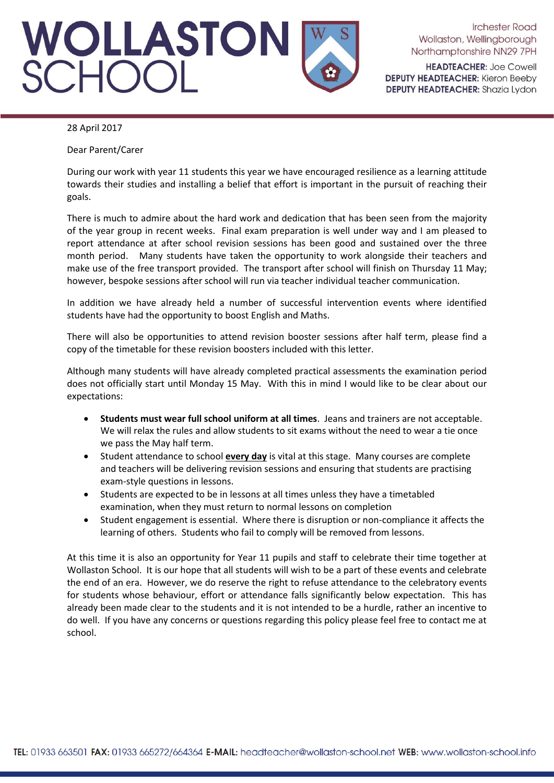# WOLLASTON<br>SCHOOL

**Irchester Road** Wollaston, Wellingborough Northamptonshire NN29 7PH

**HEADTEACHER: Joe Cowell DEPUTY HEADTEACHER: Kieron Beeby DEPUTY HEADTEACHER:** Shazia Lydon

### 28 April 2017

Dear Parent/Carer

During our work with year 11 students this year we have encouraged resilience as a learning attitude towards their studies and installing a belief that effort is important in the pursuit of reaching their goals.

There is much to admire about the hard work and dedication that has been seen from the majority of the year group in recent weeks. Final exam preparation is well under way and I am pleased to report attendance at after school revision sessions has been good and sustained over the three month period. Many students have taken the opportunity to work alongside their teachers and make use of the free transport provided. The transport after school will finish on Thursday 11 May; however, bespoke sessions after school will run via teacher individual teacher communication.

In addition we have already held a number of successful intervention events where identified students have had the opportunity to boost English and Maths.

There will also be opportunities to attend revision booster sessions after half term, please find a copy of the timetable for these revision boosters included with this letter.

Although many students will have already completed practical assessments the examination period does not officially start until Monday 15 May. With this in mind I would like to be clear about our expectations:

- **Students must wear full school uniform at all times**. Jeans and trainers are not acceptable. We will relax the rules and allow students to sit exams without the need to wear a tie once we pass the May half term.
- Student attendance to school **every day** is vital at this stage. Many courses are complete and teachers will be delivering revision sessions and ensuring that students are practising exam-style questions in lessons.
- Students are expected to be in lessons at all times unless they have a timetabled examination, when they must return to normal lessons on completion
- Student engagement is essential. Where there is disruption or non-compliance it affects the learning of others. Students who fail to comply will be removed from lessons.

At this time it is also an opportunity for Year 11 pupils and staff to celebrate their time together at Wollaston School. It is our hope that all students will wish to be a part of these events and celebrate the end of an era. However, we do reserve the right to refuse attendance to the celebratory events for students whose behaviour, effort or attendance falls significantly below expectation. This has already been made clear to the students and it is not intended to be a hurdle, rather an incentive to do well. If you have any concerns or questions regarding this policy please feel free to contact me at school.